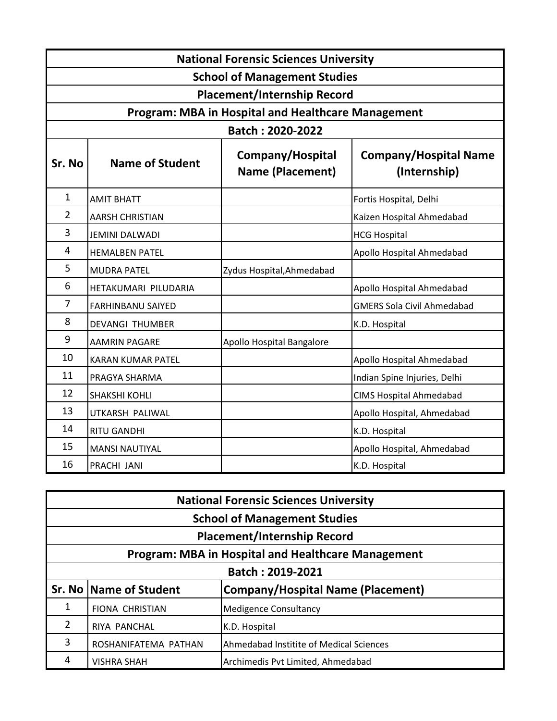|                                                           | <b>National Forensic Sciences University</b> |                                      |                                              |  |  |  |
|-----------------------------------------------------------|----------------------------------------------|--------------------------------------|----------------------------------------------|--|--|--|
| <b>School of Management Studies</b>                       |                                              |                                      |                                              |  |  |  |
| <b>Placement/Internship Record</b>                        |                                              |                                      |                                              |  |  |  |
| <b>Program: MBA in Hospital and Healthcare Management</b> |                                              |                                      |                                              |  |  |  |
| Batch: 2020-2022                                          |                                              |                                      |                                              |  |  |  |
| Sr. No                                                    | <b>Name of Student</b>                       | Company/Hospital<br>Name (Placement) | <b>Company/Hospital Name</b><br>(Internship) |  |  |  |
| 1                                                         | <b>AMIT BHATT</b>                            |                                      | Fortis Hospital, Delhi                       |  |  |  |
| $\overline{2}$                                            | <b>AARSH CHRISTIAN</b>                       |                                      | Kaizen Hospital Ahmedabad                    |  |  |  |
| 3                                                         | <b>JEMINI DALWADI</b>                        |                                      | <b>HCG Hospital</b>                          |  |  |  |
| $\overline{4}$                                            | <b>HEMALBEN PATEL</b>                        |                                      | Apollo Hospital Ahmedabad                    |  |  |  |
| 5                                                         | <b>MUDRA PATEL</b>                           | Zydus Hospital, Ahmedabad            |                                              |  |  |  |
| 6                                                         | HETAKUMARI PILUDARIA                         |                                      | Apollo Hospital Ahmedabad                    |  |  |  |
| $\overline{7}$                                            | <b>FARHINBANU SAIYED</b>                     |                                      | <b>GMERS Sola Civil Ahmedabad</b>            |  |  |  |
| 8                                                         | <b>DEVANGI THUMBER</b>                       |                                      | K.D. Hospital                                |  |  |  |
| 9                                                         | <b>AAMRIN PAGARE</b>                         | Apollo Hospital Bangalore            |                                              |  |  |  |
| 10                                                        | <b>KARAN KUMAR PATEL</b>                     |                                      | Apollo Hospital Ahmedabad                    |  |  |  |
| 11                                                        | PRAGYA SHARMA                                |                                      | Indian Spine Injuries, Delhi                 |  |  |  |
| 12                                                        | SHAKSHI KOHLI                                |                                      | <b>CIMS Hospital Ahmedabad</b>               |  |  |  |
| 13                                                        | UTKARSH PALIWAL                              |                                      | Apollo Hospital, Ahmedabad                   |  |  |  |
| 14                                                        | <b>RITU GANDHI</b>                           |                                      | K.D. Hospital                                |  |  |  |
| 15                                                        | <b>MANSI NAUTIYAL</b>                        |                                      | Apollo Hospital, Ahmedabad                   |  |  |  |
| 16                                                        | PRACHI JANI                                  |                                      | K.D. Hospital                                |  |  |  |

| <b>National Forensic Sciences University</b>              |                          |                                          |  |  |
|-----------------------------------------------------------|--------------------------|------------------------------------------|--|--|
| <b>School of Management Studies</b>                       |                          |                                          |  |  |
| <b>Placement/Internship Record</b>                        |                          |                                          |  |  |
| <b>Program: MBA in Hospital and Healthcare Management</b> |                          |                                          |  |  |
| Batch: 2019-2021                                          |                          |                                          |  |  |
|                                                           | Sr. No   Name of Student | <b>Company/Hospital Name (Placement)</b> |  |  |
| 1                                                         | <b>FIONA CHRISTIAN</b>   | <b>Medigence Consultancy</b>             |  |  |
| 2                                                         | <b>RIYA PANCHAL</b>      | K.D. Hospital                            |  |  |
| 3                                                         | ROSHANIFATEMA PATHAN     | Ahmedabad Institite of Medical Sciences  |  |  |
| 4                                                         | <b>VISHRA SHAH</b>       | Archimedis Pvt Limited, Ahmedabad        |  |  |